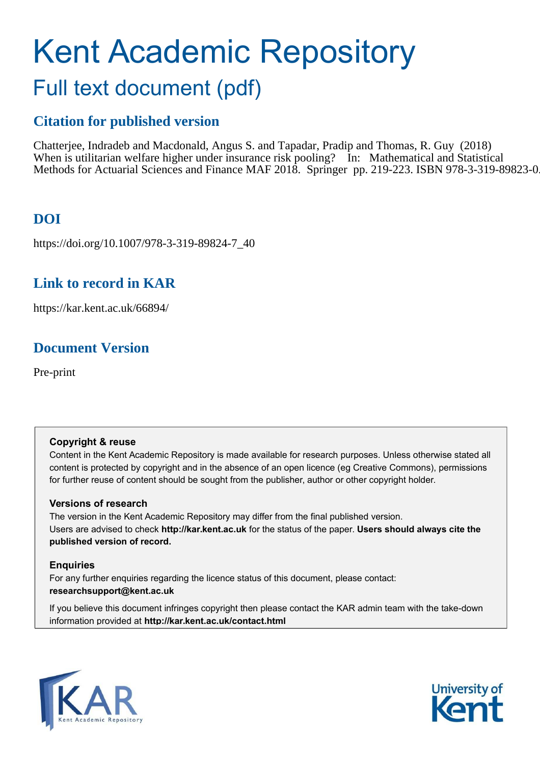# Kent Academic Repository Full text document (pdf)

# **Citation for published version**

Chatterjee, Indradeb and Macdonald, Angus S. and Tapadar, Pradip and Thomas, R. Guy (2018) When is utilitarian welfare higher under insurance risk pooling? In: Mathematical and Statistical Methods for Actuarial Sciences and Finance MAF 2018. Springer pp. 219-223. ISBN 978-3-319-89823-0.

# **DOI**

https://doi.org/10.1007/978-3-319-89824-7\_40

## **Link to record in KAR**

https://kar.kent.ac.uk/66894/

# **Document Version**

Pre-print

## **Copyright & reuse**

Content in the Kent Academic Repository is made available for research purposes. Unless otherwise stated all content is protected by copyright and in the absence of an open licence (eg Creative Commons), permissions for further reuse of content should be sought from the publisher, author or other copyright holder.

## **Versions of research**

The version in the Kent Academic Repository may differ from the final published version. Users are advised to check **http://kar.kent.ac.uk** for the status of the paper. **Users should always cite the published version of record.**

## **Enquiries**

For any further enquiries regarding the licence status of this document, please contact: **researchsupport@kent.ac.uk**

If you believe this document infringes copyright then please contact the KAR admin team with the take-down information provided at **http://kar.kent.ac.uk/contact.html**



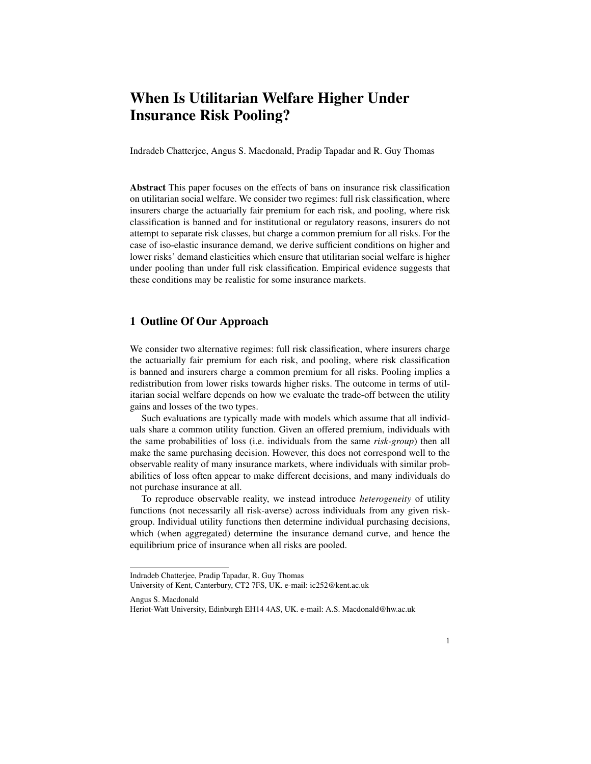## When Is Utilitarian Welfare Higher Under Insurance Risk Pooling?

Indradeb Chatterjee, Angus S. Macdonald, Pradip Tapadar and R. Guy Thomas

Abstract This paper focuses on the effects of bans on insurance risk classification on utilitarian social welfare. We consider two regimes: full risk classification, where insurers charge the actuarially fair premium for each risk, and pooling, where risk classification is banned and for institutional or regulatory reasons, insurers do not attempt to separate risk classes, but charge a common premium for all risks. For the case of iso-elastic insurance demand, we derive sufficient conditions on higher and lower risks' demand elasticities which ensure that utilitarian social welfare is higher under pooling than under full risk classification. Empirical evidence suggests that these conditions may be realistic for some insurance markets.

#### 1 Outline Of Our Approach

We consider two alternative regimes: full risk classification, where insurers charge the actuarially fair premium for each risk, and pooling, where risk classification is banned and insurers charge a common premium for all risks. Pooling implies a redistribution from lower risks towards higher risks. The outcome in terms of utilitarian social welfare depends on how we evaluate the trade-off between the utility gains and losses of the two types.

Such evaluations are typically made with models which assume that all individuals share a common utility function. Given an offered premium, individuals with the same probabilities of loss (i.e. individuals from the same *risk-group*) then all make the same purchasing decision. However, this does not correspond well to the observable reality of many insurance markets, where individuals with similar probabilities of loss often appear to make different decisions, and many individuals do not purchase insurance at all.

To reproduce observable reality, we instead introduce *heterogeneity* of utility functions (not necessarily all risk-averse) across individuals from any given riskgroup. Individual utility functions then determine individual purchasing decisions, which (when aggregated) determine the insurance demand curve, and hence the equilibrium price of insurance when all risks are pooled.

Angus S. Macdonald

Indradeb Chatterjee, Pradip Tapadar, R. Guy Thomas

University of Kent, Canterbury, CT2 7FS, UK. e-mail: ic252@kent.ac.uk

Heriot-Watt University, Edinburgh EH14 4AS, UK. e-mail: A.S. Macdonald@hw.ac.uk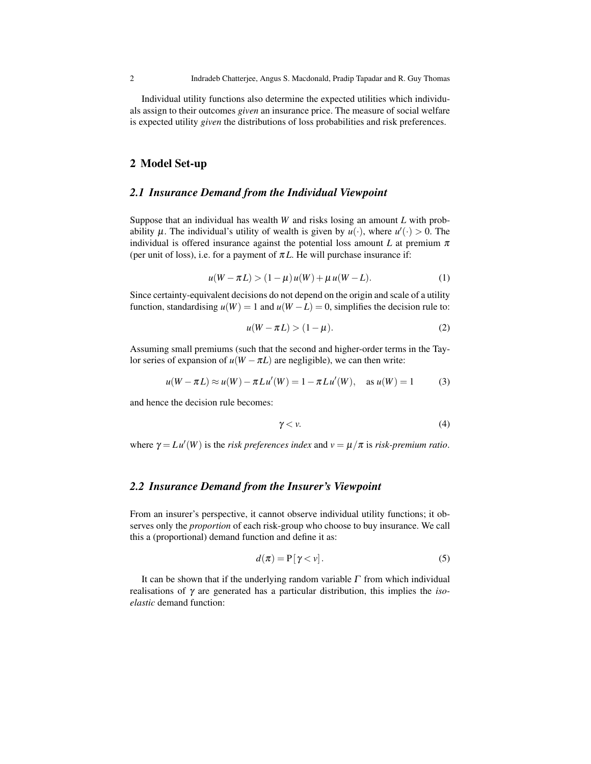Individual utility functions also determine the expected utilities which individuals assign to their outcomes *given* an insurance price. The measure of social welfare is expected utility *given* the distributions of loss probabilities and risk preferences.

#### 2 Model Set-up

### *2.1 Insurance Demand from the Individual Viewpoint*

Suppose that an individual has wealth *W* and risks losing an amount *L* with probability  $\mu$ . The individual's utility of wealth is given by  $u(\cdot)$ , where  $u'(\cdot) > 0$ . The individual is offered insurance against the potential loss amount *L* at premium  $\pi$ (per unit of loss), i.e. for a payment of  $\pi L$ . He will purchase insurance if:

$$
u(W - \pi L) > (1 - \mu) u(W) + \mu u(W - L).
$$
 (1)

Since certainty-equivalent decisions do not depend on the origin and scale of a utility function, standardising  $u(W) = 1$  and  $u(W - L) = 0$ , simplifies the decision rule to:

$$
u(W - \pi L) > (1 - \mu). \tag{2}
$$

Assuming small premiums (such that the second and higher-order terms in the Taylor series of expansion of  $u(W - \pi L)$  are negligible), we can then write:

$$
u(W - \pi L) \approx u(W) - \pi L u'(W) = 1 - \pi L u'(W), \text{ as } u(W) = 1
$$
 (3)

and hence the decision rule becomes:

$$
\gamma < \nu. \tag{4}
$$

where  $\gamma = Lu'(W)$  is the *risk preferences index* and  $v = \mu / \pi$  is *risk-premium ratio*.

#### *2.2 Insurance Demand from the Insurer's Viewpoint*

From an insurer's perspective, it cannot observe individual utility functions; it observes only the *proportion* of each risk-group who choose to buy insurance. We call this a (proportional) demand function and define it as:

$$
d(\pi) = P[\gamma < \nu].\tag{5}
$$

It can be shown that if the underlying random variable  $\Gamma$  from which individual realisations of γ are generated has a particular distribution, this implies the *isoelastic* demand function: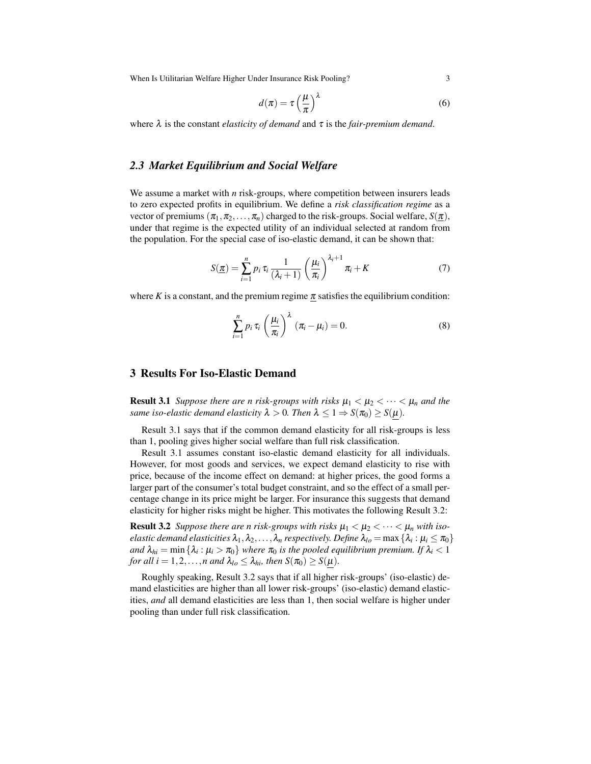When Is Utilitarian Welfare Higher Under Insurance Risk Pooling? 3

$$
d(\pi) = \tau \left(\frac{\mu}{\pi}\right)^{\lambda} \tag{6}
$$

where  $\lambda$  is the constant *elasticity of demand* and  $\tau$  is the *fair-premium demand*.

#### *2.3 Market Equilibrium and Social Welfare*

We assume a market with *n* risk-groups, where competition between insurers leads to zero expected profits in equilibrium. We define a *risk classification regime* as a vector of premiums  $(\pi_1, \pi_2, \ldots, \pi_n)$  charged to the risk-groups. Social welfare,  $S(\pi)$ , under that regime is the expected utility of an individual selected at random from the population. For the special case of iso-elastic demand, it can be shown that:

$$
S(\underline{\pi}) = \sum_{i=1}^{n} p_i \tau_i \frac{1}{(\lambda_i + 1)} \left(\frac{\mu_i}{\pi_i}\right)^{\lambda_i + 1} \pi_i + K \tag{7}
$$

where *K* is a constant, and the premium regime  $\pi$  satisfies the equilibrium condition:

$$
\sum_{i=1}^{n} p_i \tau_i \left(\frac{\mu_i}{\pi_i}\right)^{\lambda} \left(\pi_i - \mu_i\right) = 0. \tag{8}
$$

#### 3 Results For Iso-Elastic Demand

**Result 3.1** *Suppose there are n risk-groups with risks*  $\mu_1 < \mu_2 < \cdots < \mu_n$  *and the same iso-elastic demand elasticity*  $\lambda > 0$ *. Then*  $\lambda \leq 1 \Rightarrow S(\pi_0) \geq S(\mu)$ *.* 

Result 3.1 says that if the common demand elasticity for all risk-groups is less than 1, pooling gives higher social welfare than full risk classification.

Result 3.1 assumes constant iso-elastic demand elasticity for all individuals. However, for most goods and services, we expect demand elasticity to rise with price, because of the income effect on demand: at higher prices, the good forms a larger part of the consumer's total budget constraint, and so the effect of a small percentage change in its price might be larger. For insurance this suggests that demand elasticity for higher risks might be higher. This motivates the following Result 3.2:

**Result 3.2** *Suppose there are n risk-groups with risks*  $\mu_1 < \mu_2 < \cdots < \mu_n$  *with iso* $e$ lastic demand elasticities  $\lambda_1,\lambda_2,\ldots,\lambda_n$  respectively. Define  $\lambda_{lo}=\max\left\{\lambda_i:\mu_i\leq\pi_0\right\}$ *and*  $\lambda_{hi} = \min\{\lambda_i : \mu_i > \pi_0\}$  where  $\pi_0$  is the pooled equilibrium premium. If  $\lambda_i < 1$ *for all i* = 1,2,...,*n* and  $\lambda_{lo} \leq \lambda_{hi}$ , then  $S(\pi_0) \geq S(\mu)$ .

Roughly speaking, Result 3.2 says that if all higher risk-groups' (iso-elastic) demand elasticities are higher than all lower risk-groups' (iso-elastic) demand elasticities, *and* all demand elasticities are less than 1, then social welfare is higher under pooling than under full risk classification.